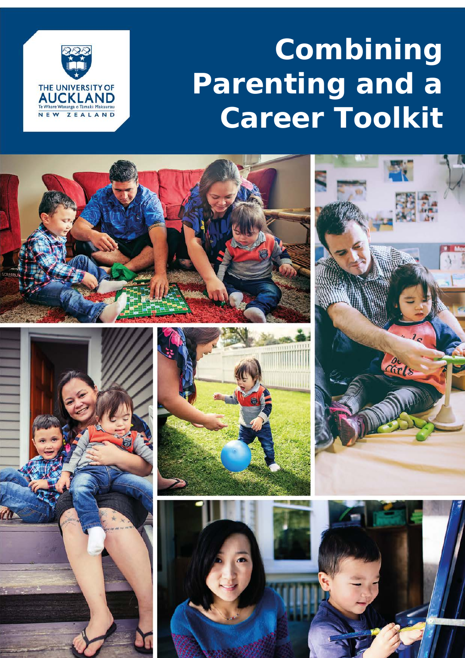# **Combining Parenting and a Career Toolkit**



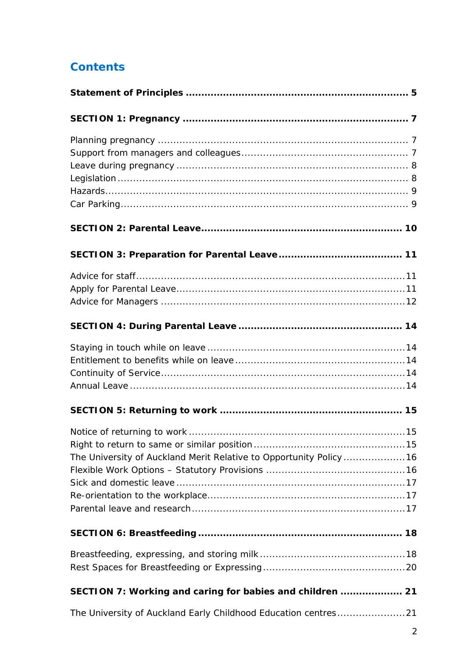# **Contents**

| The University of Auckland Merit Relative to Opportunity Policy  16 |
|---------------------------------------------------------------------|
|                                                                     |
|                                                                     |
| SECTION 7: Working and caring for babies and children  21           |
| The University of Auckland Early Childhood Education centres21      |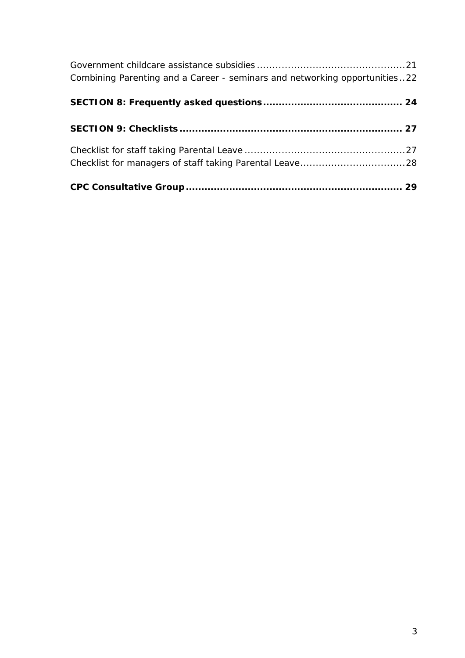| Combining Parenting and a Career - seminars and networking opportunities22 |  |
|----------------------------------------------------------------------------|--|
|                                                                            |  |
|                                                                            |  |
|                                                                            |  |
|                                                                            |  |
|                                                                            |  |
|                                                                            |  |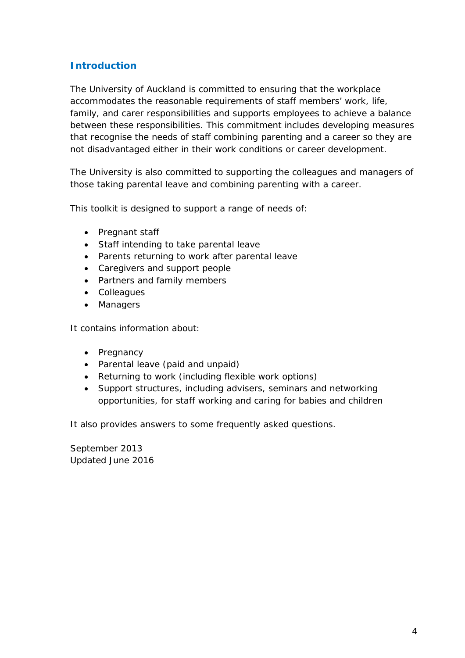# **Introduction**

The University of Auckland is committed to ensuring that the workplace accommodates the reasonable requirements of staff members' work, life, family, and carer responsibilities and supports employees to achieve a balance between these responsibilities. This commitment includes developing measures that recognise the needs of staff combining parenting and a career so they are not disadvantaged either in their work conditions or career development.

The University is also committed to supporting the colleagues and managers of those taking parental leave and combining parenting with a career.

This toolkit is designed to support a range of needs of:

- Pregnant staff
- Staff intending to take parental leave
- Parents returning to work after parental leave
- Caregivers and support people
- Partners and family members
- Colleagues
- Managers

It contains information about:

- Pregnancy
- Parental leave (paid and unpaid)
- Returning to work (including flexible work options)
- Support structures, including advisers, seminars and networking opportunities, for staff working and caring for babies and children

It also provides answers to some frequently asked questions.

September 2013 Updated June 2016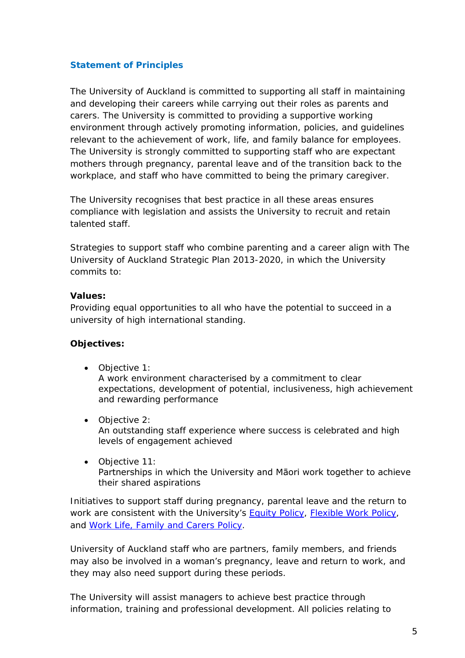# <span id="page-4-0"></span>**Statement of Principles**

The University of Auckland is committed to supporting all staff in maintaining and developing their careers while carrying out their roles as parents and carers. The University is committed to providing a supportive working environment through actively promoting information, policies, and guidelines relevant to the achievement of work, life, and family balance for employees. The University is strongly committed to supporting staff who are expectant mothers through pregnancy, parental leave and of the transition back to the workplace, and staff who have committed to being the primary caregiver.

The University recognises that best practice in all these areas ensures compliance with legislation and assists the University to recruit and retain talented staff.

Strategies to support staff who combine parenting and a career align with The University of Auckland Strategic Plan 2013-2020, in which the University commits to:

#### **Values:**

Providing equal opportunities to all who have the potential to succeed in a university of high international standing.

# **Objectives:**

- Objective 1: A work environment characterised by a commitment to clear expectations, development of potential, inclusiveness, high achievement and rewarding performance
- Objective 2:

An outstanding staff experience where success is celebrated and high levels of engagement achieved

• Objective 11: Partnerships in which the University and Māori work together to achieve their shared aspirations

Initiatives to support staff during pregnancy, parental leave and the return to work are consistent with the University's **Equity Policy, Flexible Work Policy**, and [Work Life, Family and Carers Policy.](https://www.auckland.ac.nz/en/about/the-university/how-university-works/policy-and-administration/equity/work--life--family-and-carers-policy--.html)

University of Auckland staff who are partners, family members, and friends may also be involved in a woman's pregnancy, leave and return to work, and they may also need support during these periods.

The University will assist managers to achieve best practice through information, training and professional development. All policies relating to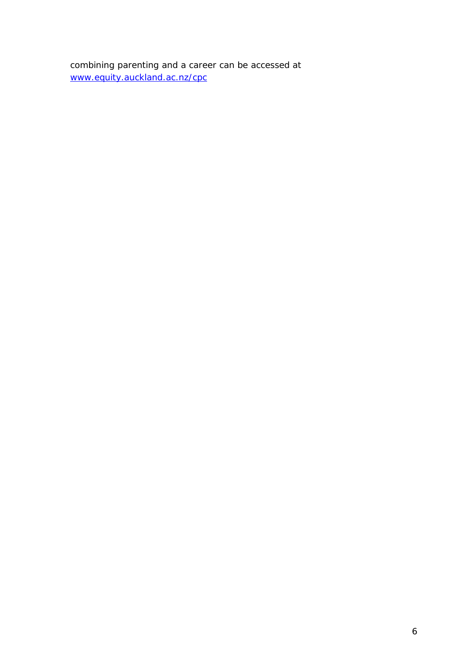combining parenting and a career can be accessed at [www.equity.auckland.ac.nz/cpc](http://www.auckland.ac.nz/uoa/home/about/eo-equity-office/eo-information-for-staff/eo-family-responsibilities)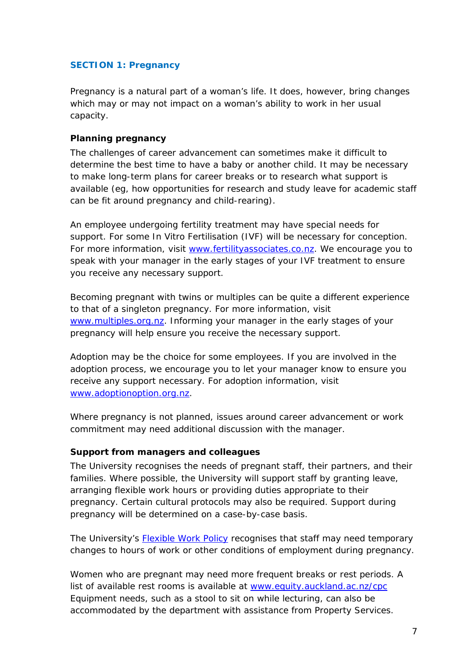# <span id="page-6-0"></span>**SECTION 1: Pregnancy**

Pregnancy is a natural part of a woman's life. It does, however, bring changes which may or may not impact on a woman's ability to work in her usual capacity.

## <span id="page-6-1"></span>**Planning pregnancy**

The challenges of career advancement can sometimes make it difficult to determine the best time to have a baby or another child. It may be necessary to make long-term plans for career breaks or to research what support is available (eg, how opportunities for research and study leave for academic staff can be fit around pregnancy and child-rearing).

An employee undergoing fertility treatment may have special needs for support. For some In Vitro Fertilisation (IVF) will be necessary for conception. For more information, visit [www.fertilityassociates.co.nz.](http://www.fertilityassociates.co.nz/) We encourage you to speak with your manager in the early stages of your IVF treatment to ensure you receive any necessary support.

Becoming pregnant with twins or multiples can be quite a different experience to that of a singleton pregnancy. For more information, visit [www.multiples.org.nz.](http://www.multiples.org.nz/) Informing your manager in the early stages of your pregnancy will help ensure you receive the necessary support.

Adoption may be the choice for some employees. If you are involved in the adoption process, we encourage you to let your manager know to ensure you receive any support necessary. For adoption information, visit [www.adoptionoption.org.nz.](http://www.adoptionoption.org.nz/)

Where pregnancy is not planned, issues around career advancement or work commitment may need additional discussion with the manager.

#### <span id="page-6-2"></span>**Support from managers and colleagues**

The University recognises the needs of pregnant staff, their partners, and their families. Where possible, the University will support staff by granting leave, arranging flexible work hours or providing duties appropriate to their pregnancy. Certain cultural protocols may also be required. Support during pregnancy will be determined on a case-by-case basis.

The University's [Flexible Work Policy](https://www.auckland.ac.nz/en/about/the-university/how-university-works/policy-and-administration/human-resources1/employer-and-employee-responsibilities/flexible-work-policy-and-procedures-.html) recognises that staff may need temporary changes to hours of work or other conditions of employment during pregnancy.

Women who are pregnant may need more frequent breaks or rest periods. A list of available rest rooms is available at [www.equity.auckland.ac.nz/cpc](http://www.equity.auckland.ac.nz/cpc) Equipment needs, such as a stool to sit on while lecturing, can also be accommodated by the department with assistance from Property Services.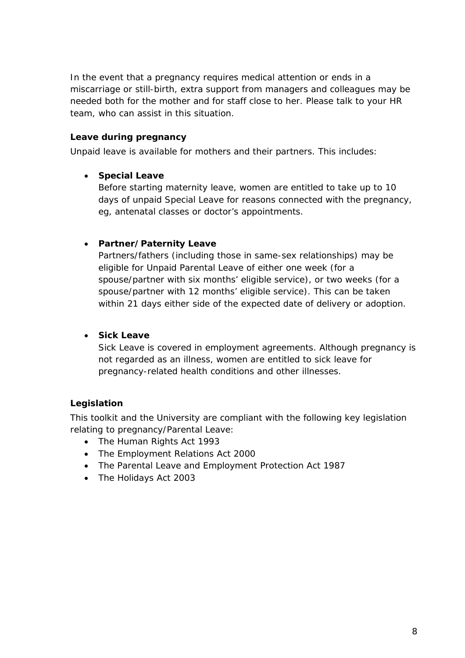In the event that a pregnancy requires medical attention or ends in a miscarriage or still-birth, extra support from managers and colleagues may be needed both for the mother and for staff close to her. Please talk to your HR team, who can assist in this situation.

# <span id="page-7-0"></span>**Leave during pregnancy**

Unpaid leave is available for mothers and their partners. This includes:

# • **Special Leave**

Before starting maternity leave, women are entitled to take up to 10 days of unpaid Special Leave for reasons connected with the pregnancy, eg, antenatal classes or doctor's appointments.

# • **Partner/Paternity Leave**

Partners/fathers (including those in same-sex relationships) may be eligible for Unpaid Parental Leave of either one week (for a spouse/partner with six months' eligible service), or two weeks (for a spouse/partner with 12 months' eligible service). This can be taken within 21 days either side of the expected date of delivery or adoption.

# • **Sick Leave**

Sick Leave is covered in employment agreements. Although pregnancy is not regarded as an illness, women are entitled to sick leave for pregnancy-related health conditions and other illnesses.

# <span id="page-7-1"></span>**Legislation**

This toolkit and the University are compliant with the following key legislation relating to pregnancy/Parental Leave:

- The Human Rights Act 1993
- The Employment Relations Act 2000
- The Parental Leave and Employment Protection Act 1987
- The Holidays Act 2003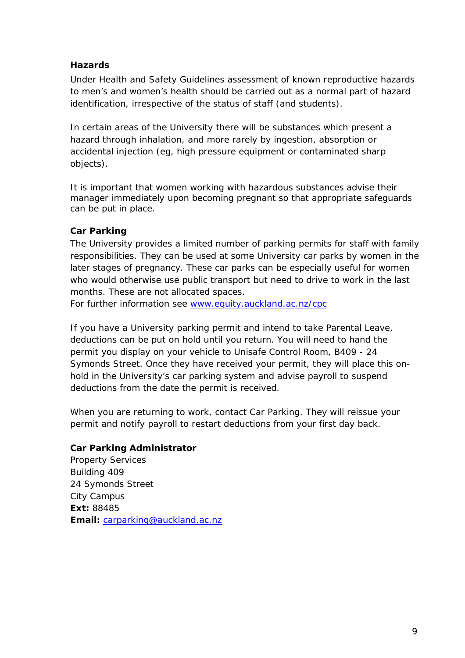# <span id="page-8-0"></span>**Hazards**

Under Health and Safety Guidelines assessment of known reproductive hazards to men's and women's health should be carried out as a normal part of hazard identification, irrespective of the status of staff (and students).

In certain areas of the University there will be substances which present a hazard through inhalation, and more rarely by ingestion, absorption or accidental injection (eg, high pressure equipment or contaminated sharp objects).

It is important that women working with hazardous substances advise their manager immediately upon becoming pregnant so that appropriate safeguards can be put in place.

# <span id="page-8-1"></span>**Car Parking**

The University provides a limited number of parking permits for staff with family responsibilities. They can be used at some University car parks by women in the later stages of pregnancy. These car parks can be especially useful for women who would otherwise use public transport but need to drive to work in the last months. These are not allocated spaces.

For further information see [www.equity.auckland.ac.nz/cpc](http://www.equity.auckland.ac.nz/cpc)

If you have a University parking permit and intend to take Parental Leave, deductions can be put on hold until you return. You will need to hand the permit you display on your vehicle to Unisafe Control Room, B409 - 24 Symonds Street. Once they have received your permit, they will place this onhold in the University's car parking system and advise payroll to suspend deductions from the date the permit is received.

When you are returning to work, contact Car Parking. They will reissue your permit and notify payroll to restart deductions from your first day back.

# **Car Parking Administrator**

Property Services Building 409 24 Symonds Street City Campus **Ext:** 88485 **Email:** [carparking@auckland.ac.nz](mailto:carparking@auckland.ac.nz)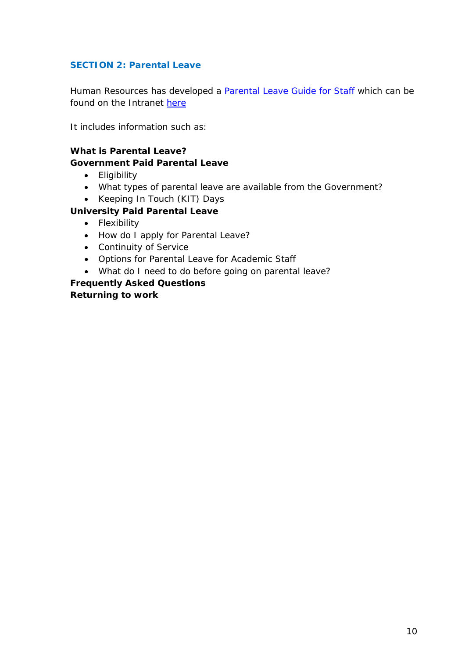# <span id="page-9-0"></span>**SECTION 2: Parental Leave**

Human Resources has developed a **[Parental Leave Guide for Staff](https://www.staff.auckland.ac.nz/assets/staff/HR/leave/documents/2016%20Parental%20Leave%20Guide%20for%20Staff.pdf)** which can be found on the Intranet [here](https://www.staff.auckland.ac.nz/en/human-resources/leave/types-of-leave-and-how-to-apply.html#3ba0491369d9d335fff2671f46a159cd)

It includes information such as:

# **What is Parental Leave?**

## **Government Paid Parental Leave**

- Eligibility
- What types of parental leave are available from the Government?
- Keeping In Touch (KIT) Days

# **University Paid Parental Leave**

- Flexibility
- How do I apply for Parental Leave?
- Continuity of Service
- Options for Parental Leave for Academic Staff
- What do I need to do before going on parental leave?

**Frequently Asked Questions Returning to work**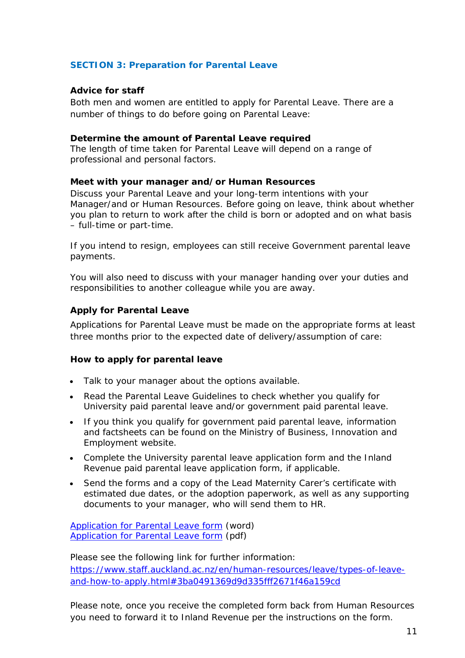# <span id="page-10-0"></span>**SECTION 3: Preparation for Parental Leave**

#### <span id="page-10-1"></span>**Advice for staff**

Both men and women are entitled to apply for Parental Leave. There are a number of things to do before going on Parental Leave:

#### **Determine the amount of Parental Leave required**

The length of time taken for Parental Leave will depend on a range of professional and personal factors.

#### **Meet with your manager and/or Human Resources**

Discuss your Parental Leave and your long-term intentions with your Manager/and or Human Resources. Before going on leave, think about whether you plan to return to work after the child is born or adopted and on what basis – full-time or part-time.

If you intend to resign, employees can still receive Government parental leave payments.

You will also need to discuss with your manager handing over your duties and responsibilities to another colleague while you are away.

#### <span id="page-10-2"></span>**Apply for Parental Leave**

Applications for Parental Leave must be made on the appropriate forms at least three months prior to the expected date of delivery/assumption of care:

#### **How to apply for parental leave**

- Talk to your manager about the options available.
- Read the Parental Leave Guidelines to check whether you qualify for University paid parental leave and/or government paid parental leave.
- If you think you qualify for government paid parental leave, information and factsheets can be found on the Ministry of Business, Innovation and Employment website.
- Complete the University parental leave application form and the Inland Revenue paid parental leave application form, if applicable.
- Send the forms and a copy of the Lead Maternity Carer's certificate with estimated due dates, or the adoption paperwork, as well as any supporting documents to your manager, who will send them to HR.

[Application for Parental Leave form](https://colab.auckland.ac.nz/registers/forms/staff-forms/hr-25.doc) (word) **[Application for Parental Leave form](https://colab.auckland.ac.nz/registers/forms/staff-forms/hr-25.pdf) (pdf)** 

Please see the following link for further information: [https://www.staff.auckland.ac.nz/en/human-resources/leave/types-of-leave](https://www.staff.auckland.ac.nz/en/human-resources/leave/types-of-leave-and-how-to-apply.html#3ba0491369d9d335fff2671f46a159cd)[and-how-to-apply.html#3ba0491369d9d335fff2671f46a159cd](https://www.staff.auckland.ac.nz/en/human-resources/leave/types-of-leave-and-how-to-apply.html#3ba0491369d9d335fff2671f46a159cd)

Please note, once you receive the completed form back from Human Resources you need to forward it to Inland Revenue per the instructions on the form.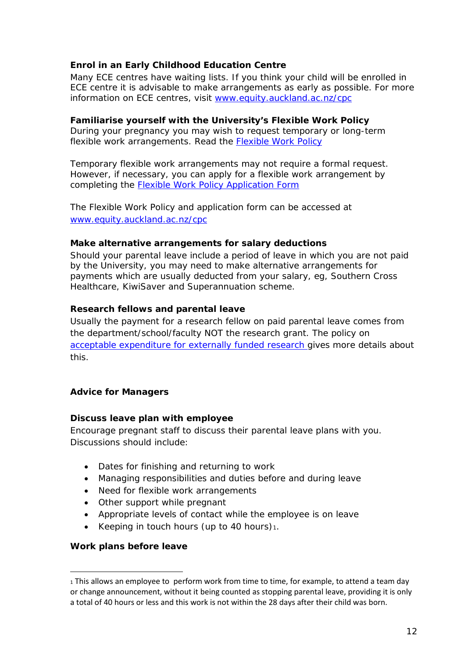# **Enrol in an Early Childhood Education Centre**

Many ECE centres have waiting lists. If you think your child will be enrolled in ECE centre it is advisable to make arrangements as early as possible. For more information on ECE centres, visit [www.equity.auckland.ac.nz/cpc](http://www.equity.auckland.ac.nz/cpc)

## **Familiarise yourself with the University's Flexible Work Policy**

During your pregnancy you may wish to request temporary or long-term flexible work arrangements. Read the [Flexible Work Policy](https://www.auckland.ac.nz/en/about/the-university/how-university-works/policy-and-administration/human-resources1/employer-and-employee-responsibilities/flexible-work-policy-and-procedures-.html)

Temporary flexible work arrangements may not require a formal request. However, if necessary, you can apply for a flexible work arrangement by completing the [Flexible Work Policy Application Form](http://www.auckland.ac.nz/uoa/home/about/eo-equity-office/eo-information-for-staff/eo-family-responsibilities)

The Flexible Work Policy and application form can be accessed at [www.equity.auckland.ac.nz/cpc](http://www.equity.auckland.ac.nz/cpc)

#### **Make alternative arrangements for salary deductions**

Should your parental leave include a period of leave in which you are not paid by the University, you may need to make alternative arrangements for payments which are usually deducted from your salary, eg, Southern Cross Healthcare, KiwiSaver and Superannuation scheme.

#### **Research fellows and parental leave**

Usually the payment for a research fellow on paid parental leave comes from the department/school/faculty NOT the research grant. The policy on [acceptable expenditure for externally funded research](https://www.auckland.ac.nz/en/about/the-university/how-university-works/policy-and-administration/research/finances/externally-funded-research-acceptable-expenditure-guidelines-.html) gives more details about this.

# <span id="page-11-0"></span>**Advice for Managers**

#### **Discuss leave plan with employee**

Encourage pregnant staff to discuss their parental leave plans with you. Discussions should include:

- Dates for finishing and returning to work
- Managing responsibilities and duties before and during leave
- Need for flexible work arrangements
- Other support while pregnant
- Appropriate levels of contact while the employee is on leave
- Keeping in touch hours (up to 40 hours)[1.](#page-11-1)

#### **Work plans before leave**

 $\overline{a}$ 

<span id="page-11-1"></span><sup>1</sup> This allows an employee to perform work from time to time, for example, to attend a team day or change announcement, without it being counted as stopping parental leave, providing it is only a total of 40 hours or less and this work is not within the 28 days after their child was born.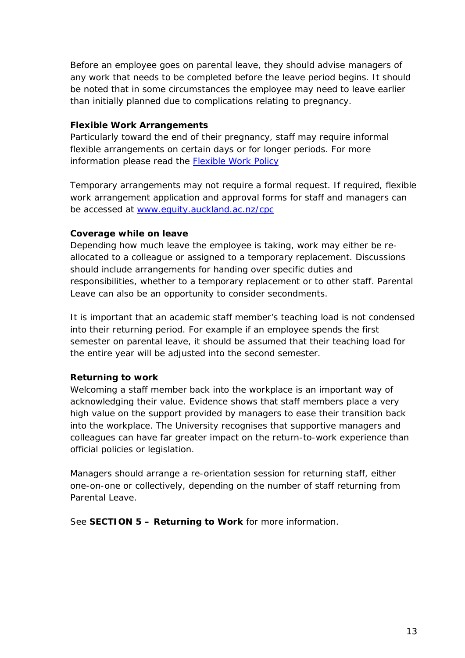Before an employee goes on parental leave, they should advise managers of any work that needs to be completed before the leave period begins. It should be noted that in some circumstances the employee may need to leave earlier than initially planned due to complications relating to pregnancy.

# **Flexible Work Arrangements**

Particularly toward the end of their pregnancy, staff may require informal flexible arrangements on certain days or for longer periods. For more information please read the [Flexible Work Policy](https://www.auckland.ac.nz/en/about/the-university/how-university-works/policy-and-administration/human-resources1/employer-and-employee-responsibilities/flexible-work-policy-and-procedures-.html)

Temporary arrangements may not require a formal request. If required, flexible work arrangement application and approval forms for staff and managers can be accessed at [www.equity.auckland.ac.nz/cpc](http://www.equity.auckland.ac.nz/cpc)

# **Coverage while on leave**

Depending how much leave the employee is taking, work may either be reallocated to a colleague or assigned to a temporary replacement. Discussions should include arrangements for handing over specific duties and responsibilities, whether to a temporary replacement or to other staff. Parental Leave can also be an opportunity to consider secondments.

It is important that an academic staff member's teaching load is not condensed into their returning period. For example if an employee spends the first semester on parental leave, it should be assumed that their teaching load for the entire year will be adjusted into the second semester.

# **Returning to work**

Welcoming a staff member back into the workplace is an important way of acknowledging their value. Evidence shows that staff members place a very high value on the support provided by managers to ease their transition back into the workplace. The University recognises that supportive managers and colleagues can have far greater impact on the return-to-work experience than official policies or legislation.

Managers should arrange a re-orientation session for returning staff, either one-on-one or collectively, depending on the number of staff returning from Parental Leave.

See **SECTION 5 – Returning to Work** for more information.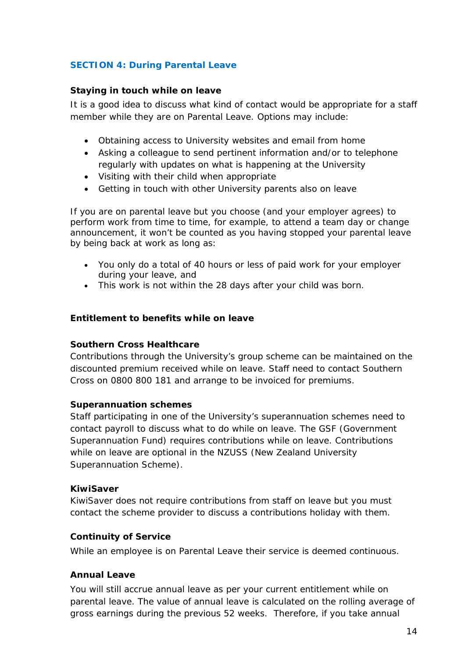# <span id="page-13-0"></span>**SECTION 4: During Parental Leave**

#### <span id="page-13-1"></span>**Staying in touch while on leave**

It is a good idea to discuss what kind of contact would be appropriate for a staff member while they are on Parental Leave. Options may include:

- Obtaining access to University websites and email from home
- Asking a colleague to send pertinent information and/or to telephone regularly with updates on what is happening at the University
- Visiting with their child when appropriate
- Getting in touch with other University parents also on leave

If you are on parental leave but you choose (and your employer agrees) to perform work from time to time, for example, to attend a team day or change announcement, it won't be counted as you having stopped your parental leave by being back at work as long as:

- You only do a total of 40 hours or less of paid work for your employer during your leave, and
- This work is not within the 28 days after your child was born.

#### <span id="page-13-2"></span>**Entitlement to benefits while on leave**

#### **Southern Cross Healthcare**

Contributions through the University's group scheme can be maintained on the discounted premium received while on leave. Staff need to contact Southern Cross on 0800 800 181 and arrange to be invoiced for premiums.

#### **Superannuation schemes**

Staff participating in one of the University's superannuation schemes need to contact payroll to discuss what to do while on leave. The GSF (Government Superannuation Fund) requires contributions while on leave. Contributions while on leave are optional in the NZUSS (New Zealand University Superannuation Scheme).

#### **KiwiSaver**

KiwiSaver does not require contributions from staff on leave but you must contact the scheme provider to discuss a contributions holiday with them.

# <span id="page-13-3"></span>**Continuity of Service**

While an employee is on Parental Leave their service is deemed continuous.

# <span id="page-13-4"></span>**Annual Leave**

You will still accrue annual leave as per your current entitlement while on parental leave. The value of annual leave is calculated on the rolling average of gross earnings during the previous 52 weeks. Therefore, if you take annual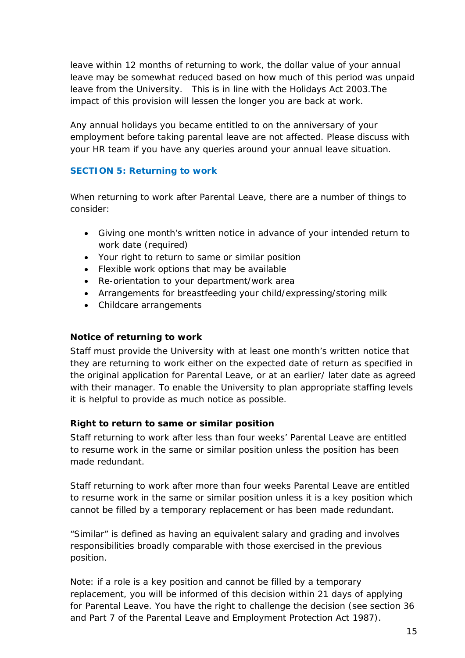leave within 12 months of returning to work, the dollar value of your annual leave may be somewhat reduced based on how much of this period was unpaid leave from the University. This is in line with the Holidays Act 2003.The impact of this provision will lessen the longer you are back at work.

Any annual holidays you became entitled to on the anniversary of your employment before taking parental leave are not affected. Please discuss with your HR team if you have any queries around your annual leave situation.

# <span id="page-14-0"></span>**SECTION 5: Returning to work**

When returning to work after Parental Leave, there are a number of things to consider:

- Giving one month's written notice in advance of your intended return to work date (required)
- Your right to return to same or similar position
- Flexible work options that may be available
- Re-orientation to your department/work area
- Arrangements for breastfeeding your child/expressing/storing milk
- Childcare arrangements

# <span id="page-14-1"></span>**Notice of returning to work**

Staff must provide the University with at least one month's written notice that they are returning to work either on the expected date of return as specified in the original application for Parental Leave, or at an earlier/ later date as agreed with their manager. To enable the University to plan appropriate staffing levels it is helpful to provide as much notice as possible.

# <span id="page-14-2"></span>**Right to return to same or similar position**

Staff returning to work after less than four weeks' Parental Leave are entitled to resume work in the same or similar position unless the position has been made redundant.

Staff returning to work after more than four weeks Parental Leave are entitled to resume work in the same or similar position unless it is a key position which cannot be filled by a temporary replacement or has been made redundant.

"Similar" is defined as having an equivalent salary and grading and involves responsibilities broadly comparable with those exercised in the previous position.

Note: if a role is a key position and cannot be filled by a temporary replacement, you will be informed of this decision within 21 days of applying for Parental Leave. You have the right to challenge the decision (see section 36 and Part 7 of the Parental Leave and Employment Protection Act 1987).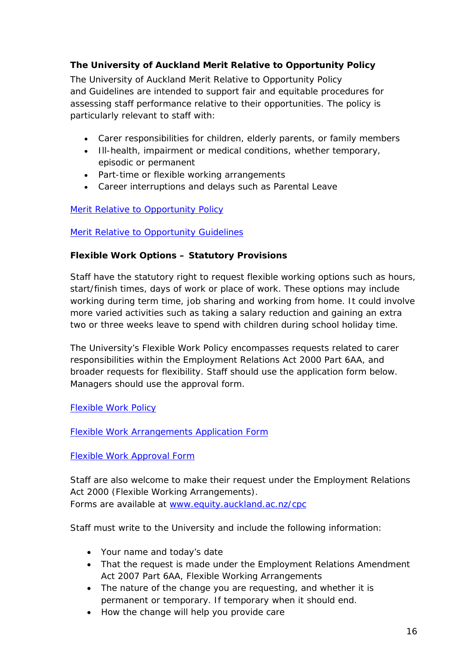# <span id="page-15-0"></span>**The University of Auckland Merit Relative to Opportunity Policy**

The University of Auckland Merit Relative to Opportunity Policy and Guidelines are intended to support fair and equitable procedures for assessing staff performance relative to their opportunities. The policy is particularly relevant to staff with:

- Carer responsibilities for children, elderly parents, or family members
- Ill-health, impairment or medical conditions, whether temporary, episodic or permanent
- Part-time or flexible working arrangements
- Career interruptions and delays such as Parental Leave

# [Merit Relative to Opportunity Policy](https://www.auckland.ac.nz/en/about/the-university/how-university-works/policy-and-administration/equity/merit-relative-to-opportunity-policy-and-procedures-.html)

# **Merit Relative to Opportunity Guidelines**

# <span id="page-15-1"></span>**Flexible Work Options – Statutory Provisions**

Staff have the statutory right to request flexible working options such as hours, start/finish times, days of work or place of work. These options may include working during term time, job sharing and working from home. It could involve more varied activities such as taking a salary reduction and gaining an extra two or three weeks leave to spend with children during school holiday time.

The University's Flexible Work Policy encompasses requests related to carer responsibilities within the Employment Relations Act 2000 Part 6AA, and broader requests for flexibility. Staff should use the application form below. Managers should use the approval form.

# [Flexible Work Policy](https://www.auckland.ac.nz/en/about/the-university/how-university-works/policy-and-administration/human-resources1/employer-and-employee-responsibilities/flexible-work-policy-and-procedures-.html)

[Flexible Work Arrangements Application Form](https://cdn.auckland.ac.nz/assets/central/about/equal-opportunities/policies-and-guidelines/guidelines-for-flexible-work-arrangements/documents/2008-11-flexible-work-arrangements-form.pdf)

# [Flexible Work Approval Form](https://cdn.auckland.ac.nz/assets/central/about/equal-opportunities/Flexible%20Work%20Policy%20Approval%20Form.pdf)

Staff are also welcome to make their request under the Employment Relations Act 2000 (Flexible Working Arrangements). Forms are available at [www.equity.auckland.ac.nz/cpc](http://www.equity.auckland.ac.nz/cpc)

Staff must write to the University and include the following information:

- Your name and today's date
- That the request is made under the Employment Relations Amendment Act 2007 Part 6AA, Flexible Working Arrangements
- The nature of the change you are requesting, and whether it is permanent or temporary. If temporary when it should end.
- How the change will help you provide care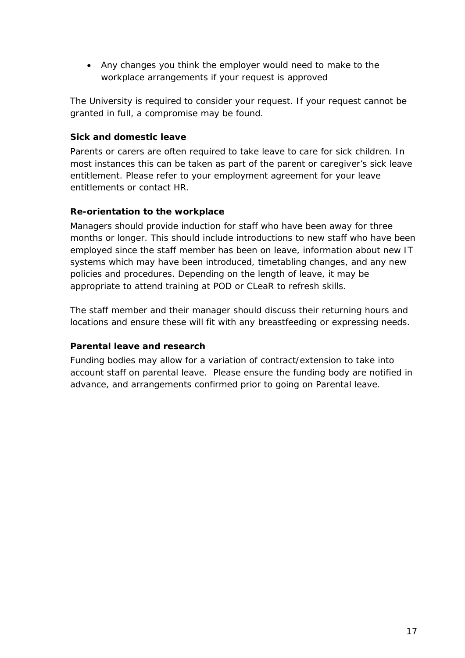• Any changes you think the employer would need to make to the workplace arrangements if your request is approved

The University is required to consider your request. If your request cannot be granted in full, a compromise may be found.

# <span id="page-16-0"></span>**Sick and domestic leave**

Parents or carers are often required to take leave to care for sick children. In most instances this can be taken as part of the parent or caregiver's sick leave entitlement. Please refer to your employment agreement for your leave entitlements or contact HR.

# <span id="page-16-1"></span>**Re-orientation to the workplace**

Managers should provide induction for staff who have been away for three months or longer. This should include introductions to new staff who have been employed since the staff member has been on leave, information about new IT systems which may have been introduced, timetabling changes, and any new policies and procedures. Depending on the length of leave, it may be appropriate to attend training at POD or CLeaR to refresh skills.

The staff member and their manager should discuss their returning hours and locations and ensure these will fit with any breastfeeding or expressing needs.

# <span id="page-16-2"></span>**Parental leave and research**

Funding bodies may allow for a variation of contract/extension to take into account staff on parental leave. Please ensure the funding body are notified in advance, and arrangements confirmed prior to going on Parental leave.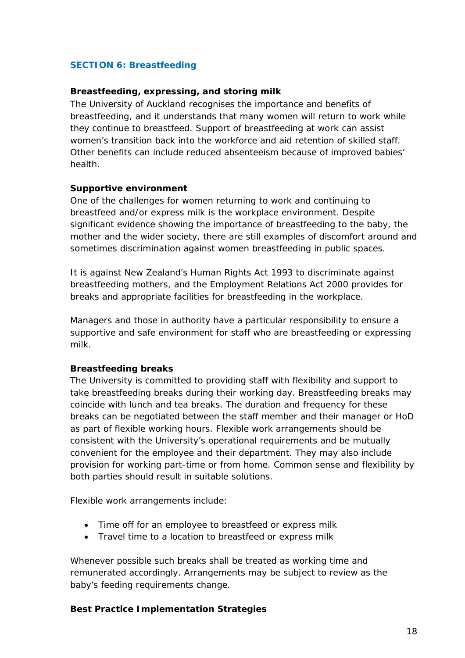# <span id="page-17-0"></span>**SECTION 6: Breastfeeding**

## <span id="page-17-1"></span>**Breastfeeding, expressing, and storing milk**

The University of Auckland recognises the importance and benefits of breastfeeding, and it understands that many women will return to work while they continue to breastfeed. Support of breastfeeding at work can assist women's transition back into the workforce and aid retention of skilled staff. Other benefits can include reduced absenteeism because of improved babies' health.

#### **Supportive environment**

One of the challenges for women returning to work and continuing to breastfeed and/or express milk is the workplace environment. Despite significant evidence showing the importance of breastfeeding to the baby, the mother and the wider society, there are still examples of discomfort around and sometimes discrimination against women breastfeeding in public spaces.

It is against New Zealand's Human Rights Act 1993 to discriminate against breastfeeding mothers, and the Employment Relations Act 2000 provides for breaks and appropriate facilities for breastfeeding in the workplace.

Managers and those in authority have a particular responsibility to ensure a supportive and safe environment for staff who are breastfeeding or expressing milk.

# **Breastfeeding breaks**

The University is committed to providing staff with flexibility and support to take breastfeeding breaks during their working day. Breastfeeding breaks may coincide with lunch and tea breaks. The duration and frequency for these breaks can be negotiated between the staff member and their manager or HoD as part of flexible working hours. Flexible work arrangements should be consistent with the University's operational requirements and be mutually convenient for the employee and their department. They may also include provision for working part-time or from home. Common sense and flexibility by both parties should result in suitable solutions.

Flexible work arrangements include:

- Time off for an employee to breastfeed or express milk
- Travel time to a location to breastfeed or express milk

Whenever possible such breaks shall be treated as working time and remunerated accordingly. Arrangements may be subject to review as the baby's feeding requirements change.

#### **Best Practice Implementation Strategies**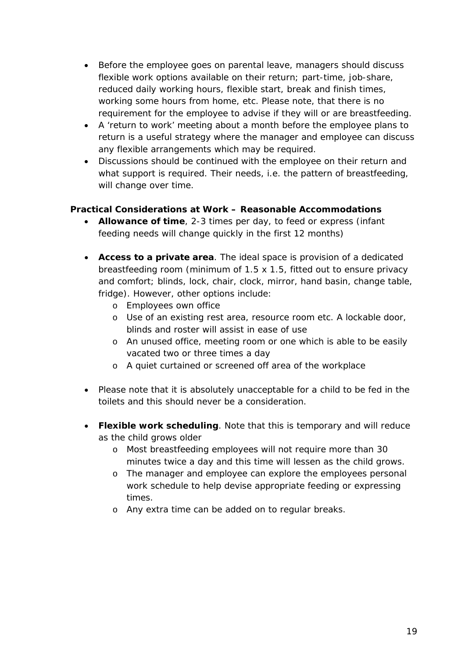- Before the employee goes on parental leave, managers should discuss flexible work options available on their return; part-time, job-share, reduced daily working hours, flexible start, break and finish times, working some hours from home, etc. Please note, that there is no requirement for the employee to advise if they will or are breastfeeding.
- A 'return to work' meeting about a month before the employee plans to return is a useful strategy where the manager and employee can discuss any flexible arrangements which may be required.
- Discussions should be continued with the employee on their return and what support is required. Their needs, i.e. the pattern of breastfeeding, will change over time.

# **Practical Considerations at Work – Reasonable Accommodations**

- **Allowance of time**, 2-3 times per day, to feed or express (infant feeding needs will change quickly in the first 12 months)
- **Access to a private area**. The ideal space is provision of a dedicated breastfeeding room (minimum of 1.5 x 1.5, fitted out to ensure privacy and comfort; blinds, lock, chair, clock, mirror, hand basin, change table, fridge). However, other options include:
	- o Employees own office
	- o Use of an existing rest area, resource room etc. A lockable door, blinds and roster will assist in ease of use
	- o An unused office, meeting room or one which is able to be easily vacated two or three times a day
	- o A quiet curtained or screened off area of the workplace
- Please note that it is absolutely unacceptable for a child to be fed in the toilets and this should never be a consideration.
- **Flexible work scheduling**. Note that this is temporary and will reduce as the child grows older
	- o Most breastfeeding employees will not require more than 30 minutes twice a day and this time will lessen as the child grows.
	- o The manager and employee can explore the employees personal work schedule to help devise appropriate feeding or expressing times.
	- o Any extra time can be added on to regular breaks.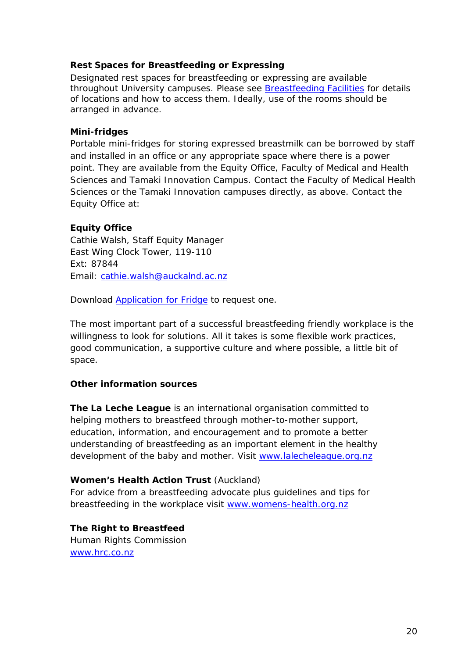# <span id="page-19-0"></span>**Rest Spaces for Breastfeeding or Expressing**

Designated rest spaces for breastfeeding or expressing are available throughout University campuses. Please see **Breastfeeding Facilities** for details of locations and how to access them. Ideally, use of the rooms should be arranged in advance.

# **Mini-fridges**

Portable mini-fridges for storing expressed breastmilk can be borrowed by staff and installed in an office or any appropriate space where there is a power point. They are available from the Equity Office, Faculty of Medical and Health Sciences and Tamaki Innovation Campus. Contact the Faculty of Medical Health Sciences or the Tamaki Innovation campuses directly, as above. Contact the Equity Office at:

# **Equity Office**

Cathie Walsh, Staff Equity Manager East Wing Clock Tower, 119-110 Ext: 87844 Email: [cathie.walsh@auckalnd.ac.nz](mailto:cathie.walsh@auckalnd.ac.nz)

Download [Application for Fridge](https://cdn.auckland.ac.nz/assets/central/about/equal-opportunities/information-for-staff/Combiningparentingandacareerdocs/2015_Fridge_Loan_Application_Form.pdf) to request one.

The most important part of a successful breastfeeding friendly workplace is the willingness to look for solutions. All it takes is some flexible work practices, good communication, a supportive culture and where possible, a little bit of space.

# **Other information sources**

**The La Leche League** is an international organisation committed to helping mothers to breastfeed through mother-to-mother support, education, information, and encouragement and to promote a better understanding of breastfeeding as an important element in the healthy development of the baby and mother. Visit [www.lalecheleague.org.nz](http://www.lalecheleague.org.nz/)

# **Women's Health Action Trust** (Auckland)

For advice from a breastfeeding advocate plus guidelines and tips for breastfeeding in the workplace visit [www.womens-health.org.nz](http://www.womens-health.org.nz/)

**The Right to Breastfeed** Human Rights Commission [www.hrc.co.nz](http://www.hrc.co.nz/)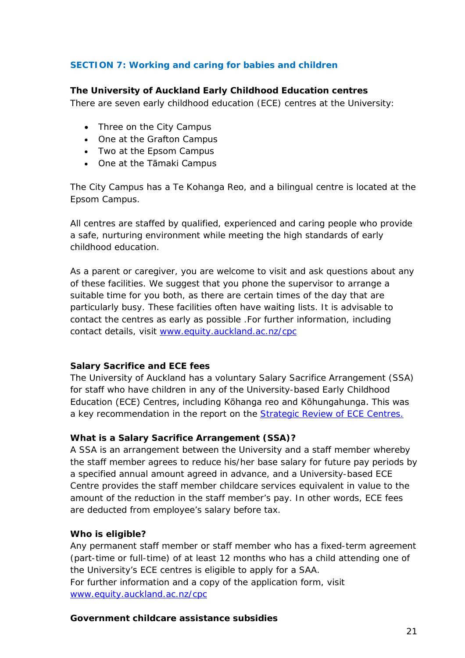# <span id="page-20-0"></span>**SECTION 7: Working and caring for babies and children**

## <span id="page-20-1"></span>**The University of Auckland Early Childhood Education centres**

There are seven early childhood education (ECE) centres at the University:

- Three on the City Campus
- One at the Grafton Campus
- Two at the Epsom Campus
- One at the Tāmaki Campus

The City Campus has a Te Kohanga Reo, and a bilingual centre is located at the Epsom Campus.

All centres are staffed by qualified, experienced and caring people who provide a safe, nurturing environment while meeting the high standards of early childhood education.

As a parent or caregiver, you are welcome to visit and ask questions about any of these facilities. We suggest that you phone the supervisor to arrange a suitable time for you both, as there are certain times of the day that are particularly busy. These facilities often have waiting lists. It is advisable to contact the centres as early as possible .For further information, including contact details, visit [www.equity.auckland.ac.nz/cpc](http://www.equity.auckland.ac.nz/cpc)

# **Salary Sacrifice and ECE fees**

The University of Auckland has a voluntary Salary Sacrifice Arrangement (SSA) for staff who have children in any of the University-based Early Childhood Education (ECE) Centres, including Kōhanga reo and Kōhungahunga. This was a key recommendation in the report on the **Strategic Review of ECE Centres.** 

#### **What is a Salary Sacrifice Arrangement (SSA)?**

A SSA is an arrangement between the University and a staff member whereby the staff member agrees to reduce his/her base salary for future pay periods by a specified annual amount agreed in advance, and a University-based ECE Centre provides the staff member childcare services equivalent in value to the amount of the reduction in the staff member's pay. In other words, ECE fees are deducted from employee's salary before tax.

#### **Who is eligible?**

Any permanent staff member or staff member who has a fixed-term agreement (part-time or full-time) of at least 12 months who has a child attending one of the University's ECE centres is eligible to apply for a SAA. For further information and a copy of the application form, visit [www.equity.auckland.ac.nz/cpc](http://www.equity.auckland.ac.nz/cpc)

#### <span id="page-20-2"></span>**Government childcare assistance subsidies**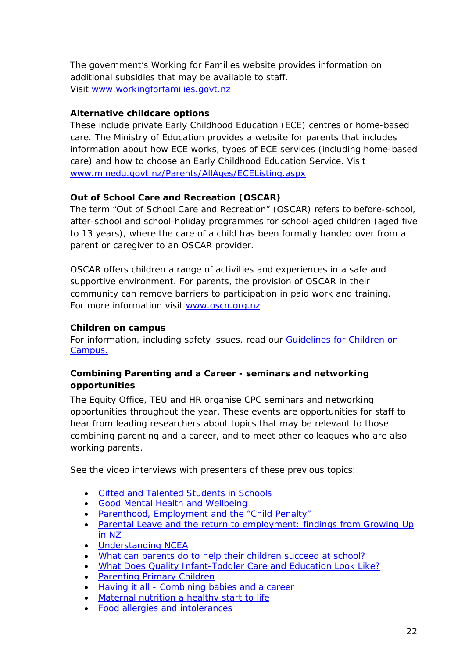The government's Working for Families website provides information on additional subsidies that may be available to staff. Visit [www.workingforfamilies.govt.nz](http://www.workingforfamilies.govt.nz/)

# **Alternative childcare options**

These include private Early Childhood Education (ECE) centres or home-based care. The Ministry of Education provides a website for parents that includes information about how ECE works, types of ECE services (including home-based care) and how to choose an Early Childhood Education Service. Visit [www.minedu.govt.nz/Parents/AllAges/ECEListing.aspx](http://www.minedu.govt.nz/Parents/AllAges/ECEListing.aspx)

# **Out of School Care and Recreation (OSCAR)**

The term "Out of School Care and Recreation" (OSCAR) refers to before-school, after-school and school-holiday programmes for school-aged children (aged five to 13 years), where the care of a child has been formally handed over from a parent or caregiver to an OSCAR provider.

OSCAR offers children a range of activities and experiences in a safe and supportive environment. For parents, the provision of OSCAR in their community can remove barriers to participation in paid work and training. For more information visit [www.oscn.org.nz](http://www.oscn.org.nz/)

# **Children on campus**

For information, including safety issues, read our [Guidelines for](https://www.auckland.ac.nz/en/about/the-university/how-university-works/policy-and-administration/equity/children-on-campus-guidelines.html) Children on [Campus.](https://www.auckland.ac.nz/en/about/the-university/how-university-works/policy-and-administration/equity/children-on-campus-guidelines.html)

# <span id="page-21-0"></span>**Combining Parenting and a Career - seminars and networking opportunities**

The Equity Office, TEU and HR organise CPC seminars and networking opportunities throughout the year. These events are opportunities for staff to hear from leading researchers about topics that may be relevant to those combining parenting and a career, and to meet other colleagues who are also working parents.

See the video interviews with presenters of these previous topics:

- [Gifted and Talented Students in Schools](https://www.auckland.ac.nz/en/about/eo-equity-office/eo-information-for-staff/eo-family-responsibilities/cpc-seminars.html#275e1ee528b536b417b6e17e65934461)
- [Good Mental Health and Wellbeing](https://www.auckland.ac.nz/en/about/eo-equity-office/eo-information-for-staff/eo-family-responsibilities/cpc-seminars.html#6ce18ef36a1eca9cb444a90788529593)
- [Parenthood, Employment and the "Child Penalty"](https://www.auckland.ac.nz/en/about/eo-equity-office/eo-information-for-staff/eo-family-responsibilities/cpc-seminars.html#1cb69436aceeb1f3284c4538ab9cb892)
- Parental Leave and the return to employment: findings from Growing Up [in NZ](https://www.auckland.ac.nz/en/about/eo-equity-office/eo-information-for-staff/eo-family-responsibilities/cpc-seminars.html#33d32995c9f626c46b502fcb0fcd067a)
- [Understanding NCEA](https://www.auckland.ac.nz/en/about/eo-equity-office/eo-information-for-staff/eo-family-responsibilities/cpc-seminars.html#b7bef2719828b455836d14fd4c6fbb6a)
- [What can parents do to help their children succeed at school?](https://www.auckland.ac.nz/en/about/eo-equity-office/eo-information-for-staff/eo-family-responsibilities/cpc-seminars.html#b8b0b3d9c197f95d3186a34477ef663f)
- [What Does Quality Infant-Toddler Care and Education Look Like?](https://www.auckland.ac.nz/en/about/eo-equity-office/eo-information-for-staff/eo-family-responsibilities/cpc-seminars.html#25196881e94e6bf9a11600b2aac81bcc)
- [Parenting Primary Children](https://www.auckland.ac.nz/en/about/eo-equity-office/eo-information-for-staff/eo-family-responsibilities/cpc-seminars.html#fcd620fd06f5116b31d87bcdf45e7690)
- Having it all [Combining babies and a career](https://www.auckland.ac.nz/en/about/eo-equity-office/eo-information-for-staff/eo-family-responsibilities/cpc-seminars.html#7d948664757dd95c0ea0098e59563dc3)
- [Maternal nutrition a healthy start to life](https://www.auckland.ac.nz/en/about/eo-equity-office/eo-information-for-staff/eo-family-responsibilities/cpc-seminars.html#4abdf2146a91ee54af0cafb302afcbe3)
- [Food allergies and intolerances](https://www.auckland.ac.nz/en/about/eo-equity-office/eo-information-for-staff/eo-family-responsibilities/cpc-seminars.html#eba20d5fdeb449527d74e000507f5759)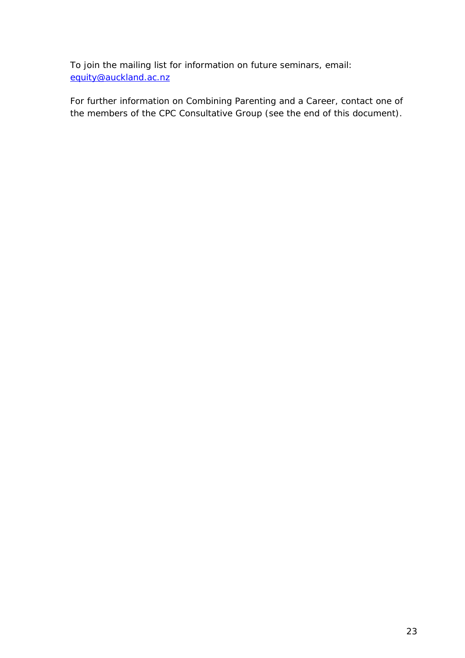To join the mailing list for information on future seminars, email: [equity@auckland.ac.nz](mailto:equity@auckland.ac.nz)

For further information on Combining Parenting and a Career, contact one of the members of the CPC Consultative Group (see the end of this document).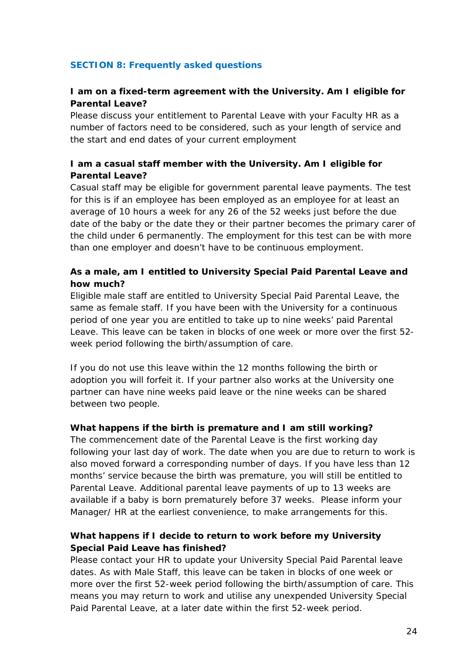# <span id="page-23-0"></span>**SECTION 8: Frequently asked questions**

# **I am on a fixed-term agreement with the University. Am I eligible for Parental Leave?**

Please discuss your entitlement to Parental Leave with your Faculty HR as a number of factors need to be considered, such as your length of service and the start and end dates of your current employment

# **I am a casual staff member with the University. Am I eligible for Parental Leave?**

Casual staff may be eligible for government parental leave payments. The test for this is if an employee has been employed as an employee for at least an average of 10 hours a week for any 26 of the 52 weeks just before the due date of the baby or the date they or their partner becomes the primary carer of the child under 6 permanently. The employment for this test can be with more than one employer and doesn't have to be continuous employment.

# **As a male, am I entitled to University Special Paid Parental Leave and how much?**

Eligible male staff are entitled to University Special Paid Parental Leave, the same as female staff. If you have been with the University for a continuous period of one year you are entitled to take up to nine weeks' paid Parental Leave. This leave can be taken in blocks of one week or more over the first 52 week period following the birth/assumption of care.

If you do not use this leave within the 12 months following the birth or adoption you will forfeit it. If your partner also works at the University one partner can have nine weeks paid leave or the nine weeks can be shared between two people.

# **What happens if the birth is premature and I am still working?**

The commencement date of the Parental Leave is the first working day following your last day of work. The date when you are due to return to work is also moved forward a corresponding number of days. If you have less than 12 months' service because the birth was premature, you will still be entitled to Parental Leave. Additional parental leave payments of up to 13 weeks are available if a baby is born prematurely before 37 weeks. Please inform your Manager/ HR at the earliest convenience, to make arrangements for this.

# **What happens if I decide to return to work before my University Special Paid Leave has finished?**

Please contact your HR to update your University Special Paid Parental leave dates. As with Male Staff, this leave can be taken in blocks of one week or more over the first 52-week period following the birth/assumption of care. This means you may return to work and utilise any unexpended University Special Paid Parental Leave, at a later date within the first 52-week period.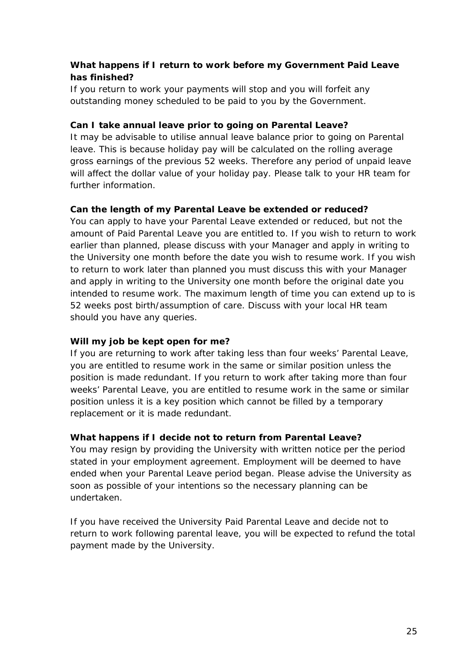# **What happens if I return to work before my Government Paid Leave has finished?**

If you return to work your payments will stop and you will forfeit any outstanding money scheduled to be paid to you by the Government.

# **Can I take annual leave prior to going on Parental Leave?**

It may be advisable to utilise annual leave balance prior to going on Parental leave. This is because holiday pay will be calculated on the rolling average gross earnings of the previous 52 weeks. Therefore any period of unpaid leave will affect the dollar value of your holiday pay. Please talk to your HR team for further information.

# **Can the length of my Parental Leave be extended or reduced?**

You can apply to have your Parental Leave extended or reduced, but not the amount of Paid Parental Leave you are entitled to. If you wish to return to work earlier than planned, please discuss with your Manager and apply in writing to the University one month before the date you wish to resume work. If you wish to return to work later than planned you must discuss this with your Manager and apply in writing to the University one month before the original date you intended to resume work. The maximum length of time you can extend up to is 52 weeks post birth/assumption of care. Discuss with your local HR team should you have any queries.

# **Will my job be kept open for me?**

If you are returning to work after taking less than four weeks' Parental Leave, you are entitled to resume work in the same or similar position unless the position is made redundant. If you return to work after taking more than four weeks' Parental Leave, you are entitled to resume work in the same or similar position unless it is a key position which cannot be filled by a temporary replacement or it is made redundant.

# **What happens if I decide not to return from Parental Leave?**

You may resign by providing the University with written notice per the period stated in your employment agreement. Employment will be deemed to have ended when your Parental Leave period began. Please advise the University as soon as possible of your intentions so the necessary planning can be undertaken.

If you have received the University Paid Parental Leave and decide not to return to work following parental leave, you will be expected to refund the total payment made by the University.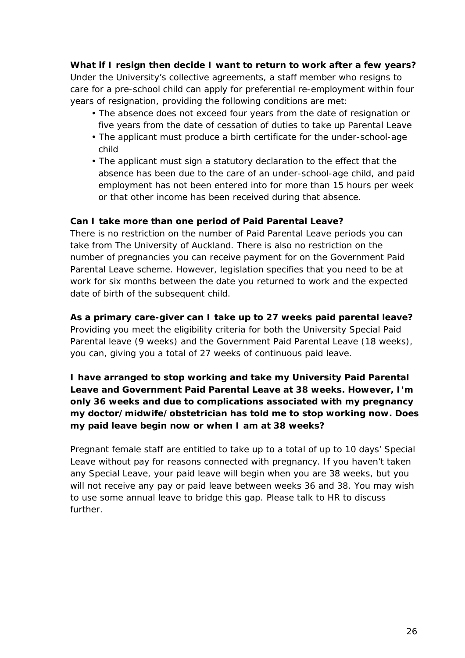**What if I resign then decide I want to return to work after a few years?** Under the University's collective agreements, a staff member who resigns to care for a pre-school child can apply for preferential re-employment within four years of resignation, providing the following conditions are met:

- The absence does not exceed four years from the date of resignation or five years from the date of cessation of duties to take up Parental Leave
- The applicant must produce a birth certificate for the under-school-age child
- The applicant must sign a statutory declaration to the effect that the absence has been due to the care of an under-school-age child, and paid employment has not been entered into for more than 15 hours per week or that other income has been received during that absence.

# **Can I take more than one period of Paid Parental Leave?**

There is no restriction on the number of Paid Parental Leave periods you can take from The University of Auckland. There is also no restriction on the number of pregnancies you can receive payment for on the Government Paid Parental Leave scheme. However, legislation specifies that you need to be at work for six months between the date you returned to work and the expected date of birth of the subsequent child.

# **As a primary care-giver can I take up to 27 weeks paid parental leave?**

Providing you meet the eligibility criteria for both the University Special Paid Parental leave (9 weeks) and the Government Paid Parental Leave (18 weeks), you can, giving you a total of 27 weeks of continuous paid leave.

# **I have arranged to stop working and take my University Paid Parental Leave and Government Paid Parental Leave at 38 weeks. However, I'm only 36 weeks and due to complications associated with my pregnancy my doctor/midwife/obstetrician has told me to stop working now. Does my paid leave begin now or when I am at 38 weeks?**

Pregnant female staff are entitled to take up to a total of up to 10 days' Special Leave without pay for reasons connected with pregnancy. If you haven't taken any Special Leave, your paid leave will begin when you are 38 weeks, but you will not receive any pay or paid leave between weeks 36 and 38. You may wish to use some annual leave to bridge this gap. Please talk to HR to discuss further.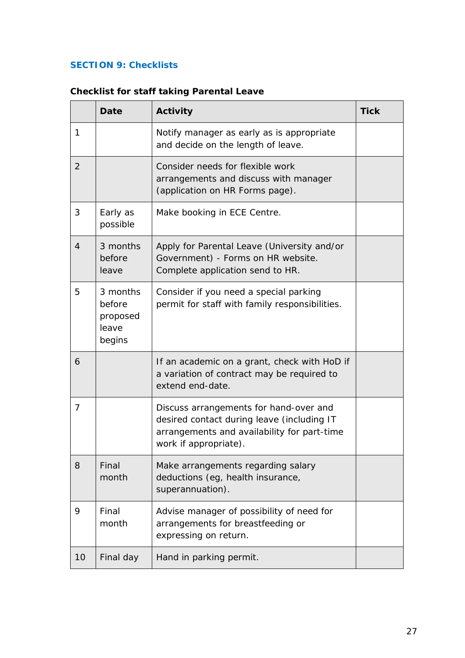# <span id="page-26-0"></span>**SECTION 9: Checklists**

|                | <b>Date</b>                                       | Activity                                                                                                                                                     | <b>Tick</b> |
|----------------|---------------------------------------------------|--------------------------------------------------------------------------------------------------------------------------------------------------------------|-------------|
| 1              |                                                   | Notify manager as early as is appropriate<br>and decide on the length of leave.                                                                              |             |
| $\overline{2}$ |                                                   | Consider needs for flexible work<br>arrangements and discuss with manager<br>(application on HR Forms page).                                                 |             |
| 3              | Early as<br>possible                              | Make booking in ECE Centre.                                                                                                                                  |             |
| $\overline{4}$ | 3 months<br>before<br>leave                       | Apply for Parental Leave (University and/or<br>Government) - Forms on HR website.<br>Complete application send to HR.                                        |             |
| 5              | 3 months<br>before<br>proposed<br>leave<br>begins | Consider if you need a special parking<br>permit for staff with family responsibilities.                                                                     |             |
| 6              |                                                   | If an academic on a grant, check with HoD if<br>a variation of contract may be required to<br>extend end-date.                                               |             |
| 7              |                                                   | Discuss arrangements for hand-over and<br>desired contact during leave (including IT<br>arrangements and availability for part-time<br>work if appropriate). |             |
| 8              | Final<br>month                                    | Make arrangements regarding salary<br>deductions (eg, health insurance,<br>superannuation).                                                                  |             |
| 9              | Final<br>month                                    | Advise manager of possibility of need for<br>arrangements for breastfeeding or<br>expressing on return.                                                      |             |
| 10             | Final day                                         | Hand in parking permit.                                                                                                                                      |             |

# <span id="page-26-1"></span>**Checklist for staff taking Parental Leave**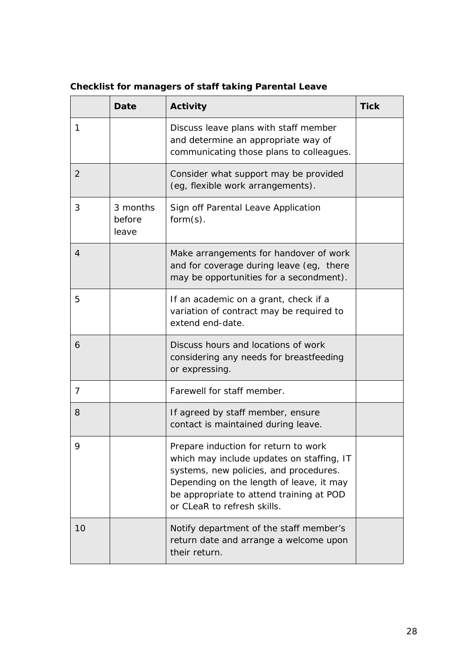|                | <b>Date</b>                 | Activity                                                                                                                                                                                                                                           | <b>Tick</b> |
|----------------|-----------------------------|----------------------------------------------------------------------------------------------------------------------------------------------------------------------------------------------------------------------------------------------------|-------------|
| 1              |                             | Discuss leave plans with staff member<br>and determine an appropriate way of<br>communicating those plans to colleagues.                                                                                                                           |             |
| 2              |                             | Consider what support may be provided<br>(eg, flexible work arrangements).                                                                                                                                                                         |             |
| 3              | 3 months<br>before<br>leave | Sign off Parental Leave Application<br>$form(s)$ .                                                                                                                                                                                                 |             |
| 4              |                             | Make arrangements for handover of work<br>and for coverage during leave (eg, there<br>may be opportunities for a secondment).                                                                                                                      |             |
| 5              |                             | If an academic on a grant, check if a<br>variation of contract may be required to<br>extend end-date.                                                                                                                                              |             |
| 6              |                             | Discuss hours and locations of work<br>considering any needs for breastfeeding<br>or expressing.                                                                                                                                                   |             |
| $\overline{7}$ |                             | Farewell for staff member.                                                                                                                                                                                                                         |             |
| 8              |                             | If agreed by staff member, ensure<br>contact is maintained during leave.                                                                                                                                                                           |             |
| 9              |                             | Prepare induction for return to work<br>which may include updates on staffing, IT<br>systems, new policies, and procedures.<br>Depending on the length of leave, it may<br>be appropriate to attend training at POD<br>or CLeaR to refresh skills. |             |
| 10             |                             | Notify department of the staff member's<br>return date and arrange a welcome upon<br>their return.                                                                                                                                                 |             |

# <span id="page-27-0"></span>**Checklist for managers of staff taking Parental Leave**